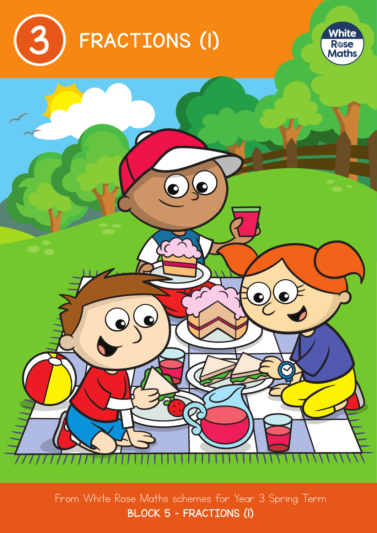





From White Rose Maths schemes for Year 3 Spring Term BLOCK 5 – FRACTIONS (1)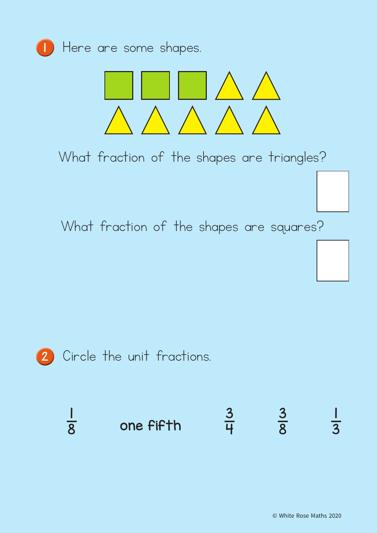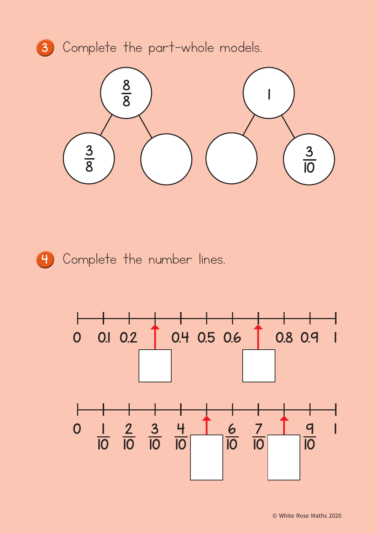



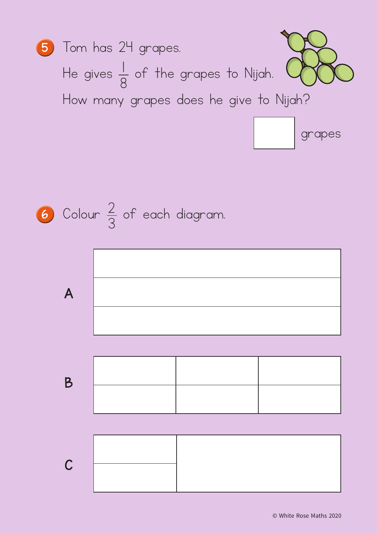

**6** Cobur 
$$
\frac{2}{3}
$$
 of each diagram.

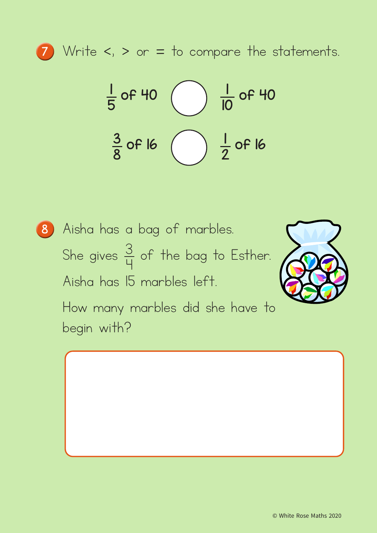

<sup>7</sup> Write <, > or = to compare the statements.



Aisha has a bag of marbles. She gives  $\frac{3}{11}$ 4 of the bag to Esther. Aisha has 15 marbles left. How many marbles did she have to begin with?

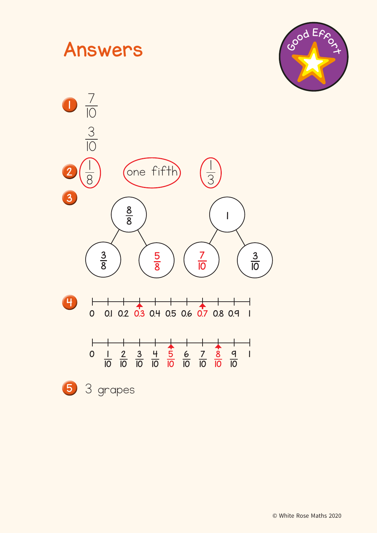